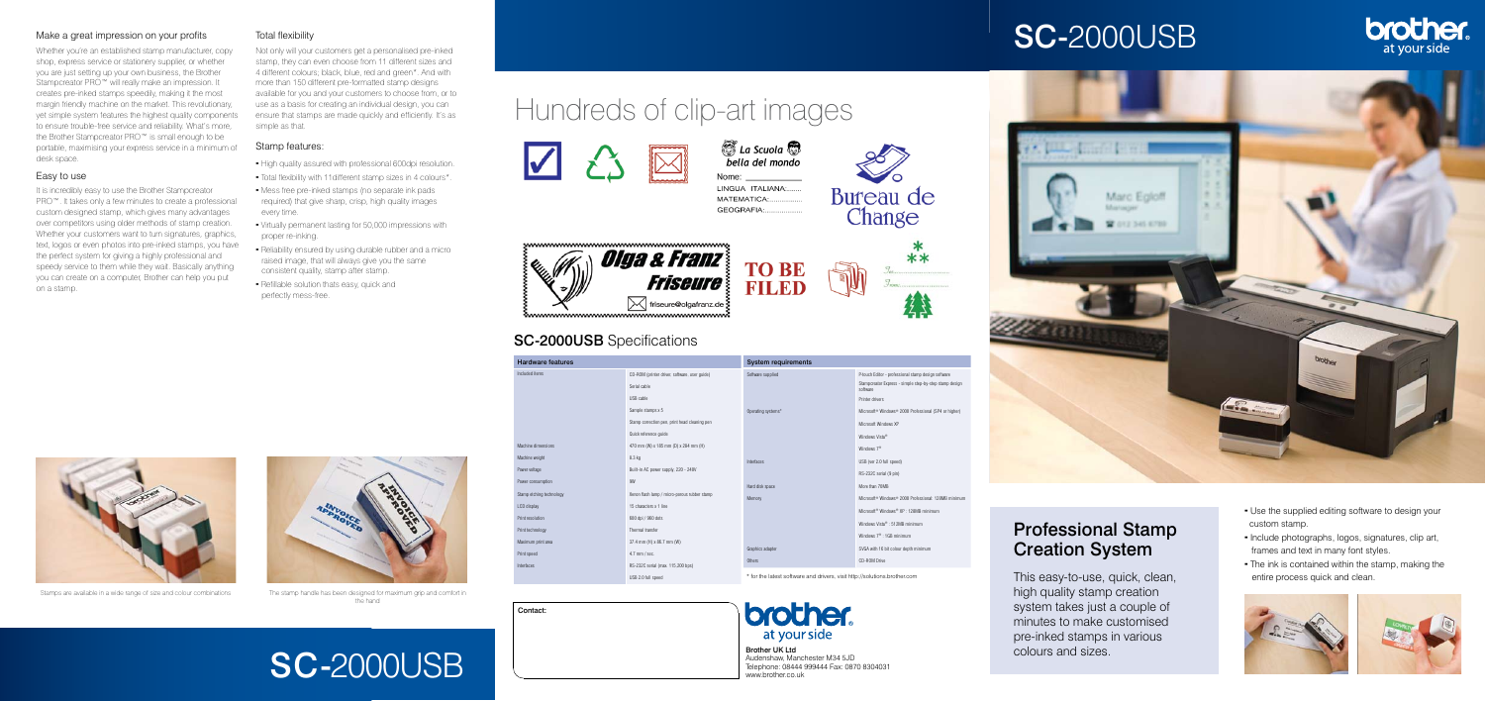### Professional Stamp Creation System

This easy-to-use, quick, clean, high quality stamp creation system takes just a couple of minutes to make customised pre-inked stamps in various colours and sizes.

- Use the supplied editing software to design your custom stamp.
- Include photographs, logos, signatures, clip art, frames and text in many font styles.
- The ink is contained within the stamp, making the entire process quick and clean.





### SC-2000USB



**S** La Scuola  $\bullet$ bella del mondo

**TO BE** 

**FILED** 





Brother UK Ltd Audenshaw, Manchester M34 5JD Telephone: 08444 999444 Fax: 0870 8304031 www.brother.co.uk







SC-2000USB

### Make a great impression on your profits

It is incredibly easy to use the Brother Stampcreator PRO™. It takes only a few minutes to create a professional custom designed stamp, which gives many advantages over competitors using older methods of stamp creation. Whether your customers want to turn signatures, graphics, text, logos or even photos into pre-inked stamps, you have the perfect system for giving a highly professional and speedy service to them while they wait. Basically anything you can create on a computer, Brother can help you put on a stamp.

Whether you're an established stamp manufacturer, copy shop, express service or stationery supplier, or whether you are just setting up your own business, the Brother Stampcreator PRO™ will really make an impression. It creates pre-inked stamps speedily, making it the most margin friendly machine on the market. This revolutionary, yet simple system features the highest quality components to ensure trouble-free service and reliability. What's more, the Brother Stampcreator PRO™ is small enough to be portable, maximising your express service in a minimum of desk space.

#### Easy to use

- High quality assured with professional 600dpi resolution.
- Total flexibility with 11different stamp sizes in 4 colours\*.
- Mess free pre-inked stamps (no separate ink pads required) that give sharp, crisp, high quality images every time.
- Virtually permanent lasting for 50,000 impressions with proper re-inking.
- Reliability ensured by using durable rubber and a micro raised image, that will always give you the same consistent quality, stamp after stamp.
- Refillable solution thats easy, quick and perfectly mess-free.



Stamps are available in a wide range of size and colour combinations The stamp handle has been designed for maximum grip and comfort in the hand

#### Total flexibility

Not only will your customers get a personalised pre-inked stamp, they can even choose from 11 different sizes and 4 different colours; black, blue, red and green\*. And with more than 150 different pre-formatted stamp designs available for you and your customers to choose from, or to use as a basis for creating an individual design, you can ensure that stamps are made quickly and efficiently. It's as simple as that.

#### Stamp features:

### Hundreds of clip-art images





Nome: LINGUA ITALIANA:......

MATEMATICA:

**GEOGRAFIA:..** 



### SC-2000USB Specifications

| <b>Hardware features</b> |                                               | <b>System requirements</b>                                                |                                                                               |
|--------------------------|-----------------------------------------------|---------------------------------------------------------------------------|-------------------------------------------------------------------------------|
| Included items           | CD-ROM (printer driver, software, user quide) | Software supplied                                                         | P-touch Editor - professional stamp design software                           |
|                          | Serial cable                                  |                                                                           | Stampcreator Express - simple step-by-step stamp design<br>software           |
|                          | USB cable                                     |                                                                           | Printer drivers                                                               |
|                          | Sample stamps x 5                             | Operating systems*                                                        | Microsoft <sup>®</sup> Windows <sup>®</sup> 2000 Professional (SP4 or higher) |
|                          | Stamp correction pen, print head cleaning pen |                                                                           | Microsoft Windows XP                                                          |
|                          | Quick reference quide                         |                                                                           | Windows Vista®                                                                |
| Machine dimensions       | 470 mm (W) x 185 mm (D) x 284 mm (H)          |                                                                           | Windows 7 <sup>®</sup>                                                        |
| Machine weight           | 8.3 kg                                        | Interfaces                                                                | USB (ver 2.0 full speed)                                                      |
| Power voltage            | Built-in AC power supply, 220 - 240V          |                                                                           | RS-232C serial (9 pin)                                                        |
| Power consumption        | 9W                                            | Hard disk space                                                           | More than 70MB                                                                |
| Stamp etching technology | Xenon flash lamp / micro-porous rubber stamp  | Memory                                                                    | Microsoft <sup>®</sup> Windows® 2000 Professional: 128MB minimum              |
| LCD display              | 15 characters x 1 line                        |                                                                           | Microsoft <sup>®</sup> Windows <sup>®</sup> XP: 128MB minimum                 |
| Print resolution         | 600 dpi / 960 dots                            |                                                                           | Windows Vista®: 512MB minimum                                                 |
| Print technology         | Thermal transfer                              |                                                                           | Windows $7^{\circledR}$ : 1GB minimum                                         |
| Maximum print area       | 37.4 mm (H) x 86.7 mm (W)                     |                                                                           |                                                                               |
| Print speed              | 4.7 mm / sec.                                 | Graphics adapter                                                          | SVGA with 16 bit colour depth minimum                                         |
| Interfaces               | RS-232C serial (max. 115,200 bps)             | Others                                                                    | CD-ROM Drive                                                                  |
|                          | USB 2.0 full speed                            | * for the latest software and drivers, visit http://solutions.brother.com |                                                                               |